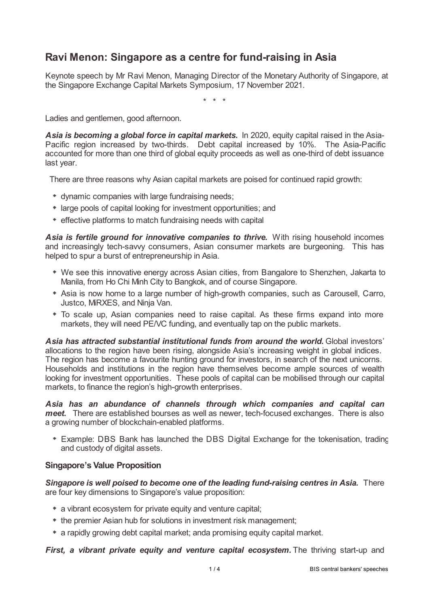# **Ravi Menon: Singapore as a centre for fund-raising in Asia**

Keynote speech by Mr Ravi Menon, Managing Director of the Monetary Authority of Singapore, at the Singapore Exchange Capital Markets Symposium, 17 November 2021.

\* \* \*

Ladies and gentlemen, good afternoon.

*Asia is becoming a global force in capital markets.* In 2020, equity capital raised in the Asia-Pacific region increased by two-thirds. Debt capital increased by 10%. The Asia-Pacific accounted for more than one third of global equity proceeds as well as one-third of debt issuance last year.

There are three reasons why Asian capital markets are poised for continued rapid growth:

- dynamic companies with large fundraising needs;
- large pools of capital looking for investment opportunities; and
- effective platforms to match fundraising needs with capital

*Asia is fertile ground for innovative companies to thrive.* With rising household incomes and increasingly tech-savvy consumers, Asian consumer markets are burgeoning. This has helped to spur a burst of entrepreneurship in Asia.

- We see this innovative energy across Asian cities, from Bangalore to Shenzhen, Jakarta to Manila, from Ho Chi Minh City to Bangkok, and of course Singapore.
- Asia is now home to a large number of high-growth companies, such as Carousell, Carro, Justco, MiRXES, and Ninja Van.
- To scale up, Asian companies need to raise capital. As these firms expand into more markets, they will need PE/VC funding, and eventually tap on the public markets.

*Asia has attracted substantial institutional funds from around the world.* Global investors' allocations to the region have been rising, alongside Asia's increasing weight in global indices. The region has become a favourite hunting ground for investors, in search of the next unicorns. Households and institutions in the region have themselves become ample sources of wealth looking for investment opportunities. These pools of capital can be mobilised through our capital markets, to finance the region's high-growth enterprises.

*Asia has an abundance of channels through which companies and capital can meet.* There are established bourses as well as newer, tech-focused exchanges. There is also a growing number of blockchain-enabled platforms.

Example: DBS Bank has launched the DBS Digital Exchange for the tokenisation, trading and custody of digital assets.

## **Singapore's Value Proposition**

*Singapore is well poised to become one of the leading fund-raising centres in Asia.* There are four key dimensions to Singapore's value proposition:

- a vibrant ecosystem for private equity and venture capital;
- the premier Asian hub for solutions in investment risk management;
- a rapidly growing debt capital market; anda promising equity capital market.

*First, a vibrant private equity and venture capital ecosystem.* The thriving start-up and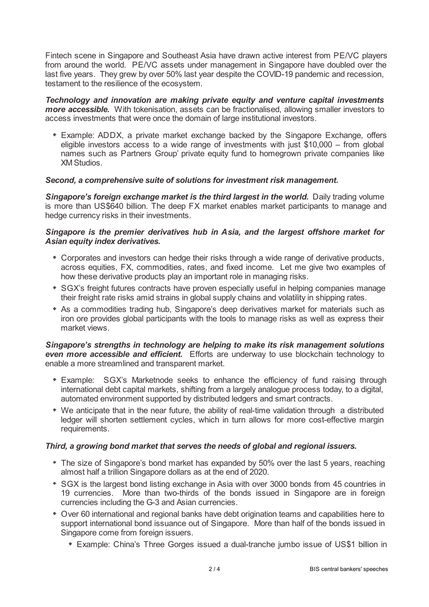Fintech scene in Singapore and Southeast Asia have drawn active interest from PE/VC players from around the world. PE/VC assets under management in Singapore have doubled over the last five years. They grew by over 50% last year despite the COVID-19 pandemic and recession, testament to the resilience of the ecosystem.

*Technology and innovation are making private equity and venture capital investments more accessible.* With tokenisation, assets can be fractionalised, allowing smaller investors to access investments that were once the domain of large institutional investors.

Example: ADDX, a private market exchange backed by the Singapore Exchange, offers eligible investors access to a wide range of investments with just \$10,000 – from global names such as Partners Group' private equity fund to homegrown private companies like XM Studios.

## *Second, a comprehensive suite of solutions for investment risk management.*

*Singapore's foreign exchange market is the third largest in the world.* Daily trading volume is more than US\$640 billion. The deep FX market enables market participants to manage and hedge currency risks in their investments.

# *Singapore is the premier derivatives hub in Asia, and the largest offshore market for Asian equity index derivatives.*

- Corporates and investors can hedge their risks through a wide range of derivative products, across equities, FX, commodities, rates, and fixed income. Let me give two examples of how these derivative products play an important role in managing risks.
- \* SGX's freight futures contracts have proven especially useful in helping companies manage their freight rate risks amid strains in global supply chains and volatility in shipping rates.
- As a commodities trading hub, Singapore's deep derivatives market for materials such as iron ore provides global participants with the tools to manage risks as well as express their market views.

*Singapore's strengths in technology are helping to make its risk management solutions even more accessible and efficient.* Efforts are underway to use blockchain technology to enable a more streamlined and transparent market.

- Example: SGX's Marketnode seeks to enhance the efficiency of fund raising through international debt capital markets, shifting from a largely analogue process today, to a digital, automated environment supported by distributed ledgers and smart contracts.
- We anticipate that in the near future, the ability of real-time validation through a distributed ledger will shorten settlement cycles, which in turn allows for more cost-effective margin requirements.

## *Third, a growing bond market that serves the needs of global and regional issuers.*

- The size of Singapore's bond market has expanded by 50% over the last 5 years, reaching almost half a trillion Singapore dollars as at the end of 2020.
- \* SGX is the largest bond listing exchange in Asia with over 3000 bonds from 45 countries in 19 currencies. More than two-thirds of the bonds issued in Singapore are in foreign currencies including the G-3 and Asian currencies.
- Over 60 international and regional banks have debt origination teams and capabilities here to support international bond issuance out of Singapore. More than half of the bonds issued in Singapore come from foreign issuers.
	- Example: China's Three Gorges issued a dual-tranche jumbo issue of US\$1 billion in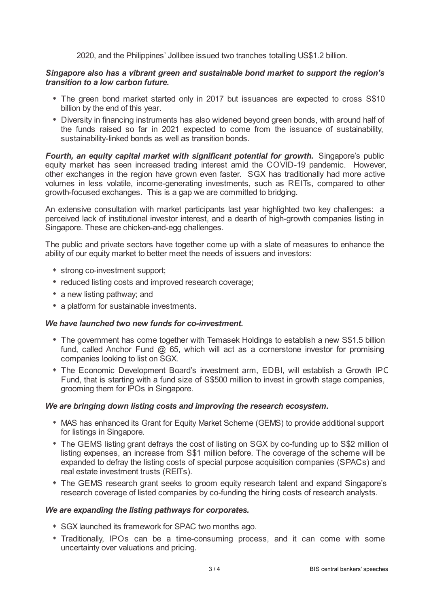2020, and the Philippines' Jollibee issued two tranches totalling US\$1.2 billion.

### *Singapore also has a vibrant green and sustainable bond market to support the region's transition to a low carbon future.*

- The green bond market started only in 2017 but issuances are expected to cross S\$10 billion by the end of this year.
- Diversity in financing instruments has also widened beyond green bonds, with around half of the funds raised so far in 2021 expected to come from the issuance of sustainability, sustainability-linked bonds as well as transition bonds.

*Fourth, an equity capital market with significant potential for growth.* Singapore's public equity market has seen increased trading interest amid the COVID-19 pandemic. However, other exchanges in the region have grown even faster. SGX has traditionally had more active volumes in less volatile, income-generating investments, such as REITs, compared to other growth-focused exchanges. This is a gap we are committed to bridging.

An extensive consultation with market participants last year highlighted two key challenges: a perceived lack of institutional investor interest, and a dearth of high-growth companies listing in Singapore. These are chicken-and-egg challenges.

The public and private sectors have together come up with a slate of measures to enhance the ability of our equity market to better meet the needs of issuers and investors:

- strong co-investment support;
- reduced listing costs and improved research coverage;
- a new listing pathway; and
- a platform for sustainable investments.

### *We have launched two new funds for co-investment.*

- The government has come together with Temasek Holdings to establish a new S\$1.5 billion fund, called Anchor Fund  $\omega$  65, which will act as a cornerstone investor for promising companies looking to list on SGX.
- The Economic Development Board's investment arm, EDBI, will establish a Growth IPO Fund, that is starting with a fund size of S\$500 million to invest in growth stage companies, grooming them for IPOs in Singapore.

#### *We are bringing down listing costs and improving the research ecosystem.*

- MAS has enhanced its Grant for Equity Market Scheme (GEMS) to provide additional support for listings in Singapore.
- The GEMS listing grant defrays the cost of listing on SGX by co-funding up to S\$2 million of listing expenses, an increase from S\$1 million before. The coverage of the scheme will be expanded to defray the listing costs of special purpose acquisition companies (SPACs) and real estate investment trusts (REITs).
- The GEMS research grant seeks to groom equity research talent and expand Singapore's research coverage of listed companies by co-funding the hiring costs of research analysts.

#### *We are expanding the listing pathways for corporates.*

- \* SGX launched its framework for SPAC two months ago.
- Traditionally, IPOs can be a time-consuming process, and it can come with some uncertainty over valuations and pricing.